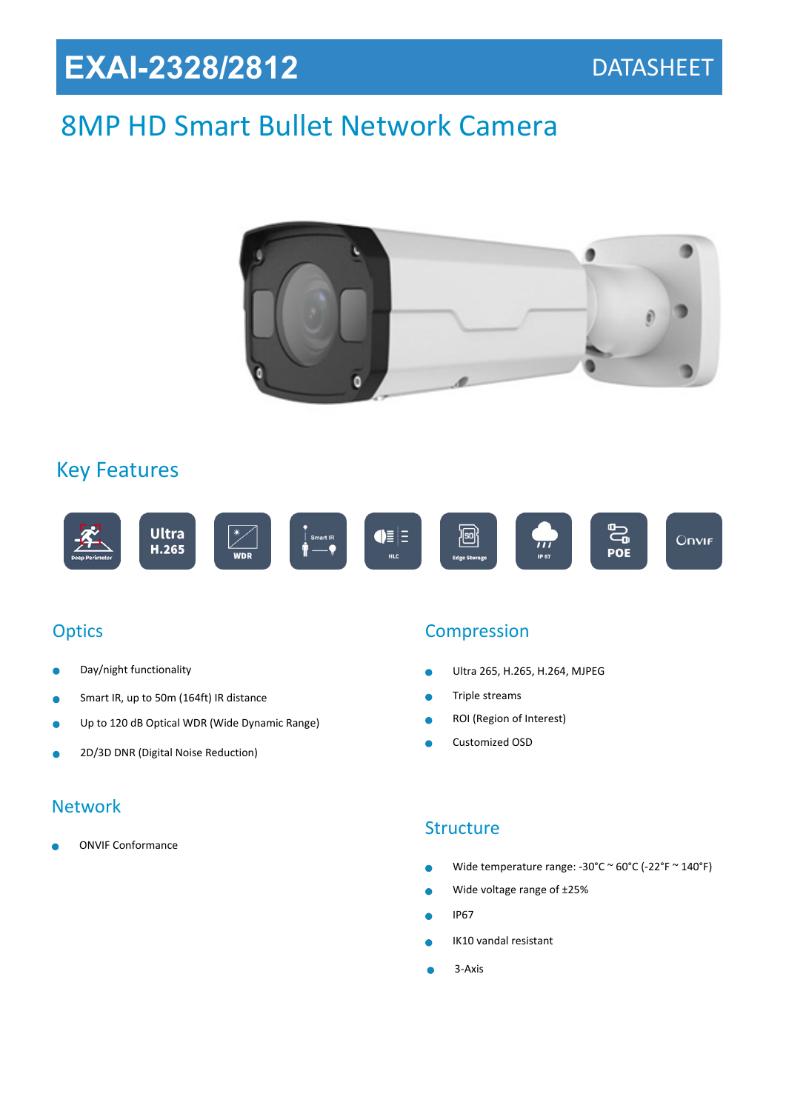# **EXAI-2328/2812**

### DATASHEET

# 8MP HD Smart Bullet Network Camera



#### Key Features



#### **Optics**

- Day/night functionality
- Smart IR, up to 50m (164ft) IR distance  $\bullet$
- Up to 120 dB Optical WDR (Wide Dynamic Range)  $\bullet$
- 2D/3D DNR (Digital Noise Reduction)  $\bullet$

#### Network

ONVIF Conformance

#### **Compression**

- Ultra 265, H.265, H.264, MJPEG
- Triple streams
- ROI (Region of Interest)
- Customized OSD

#### **Structure**

- Wide temperature range: -30°C ~ 60°C (-22°F ~ 140°F)
- Wide voltage range of ±25%
- IP67
- IK10 vandal resistant
- 3-Axis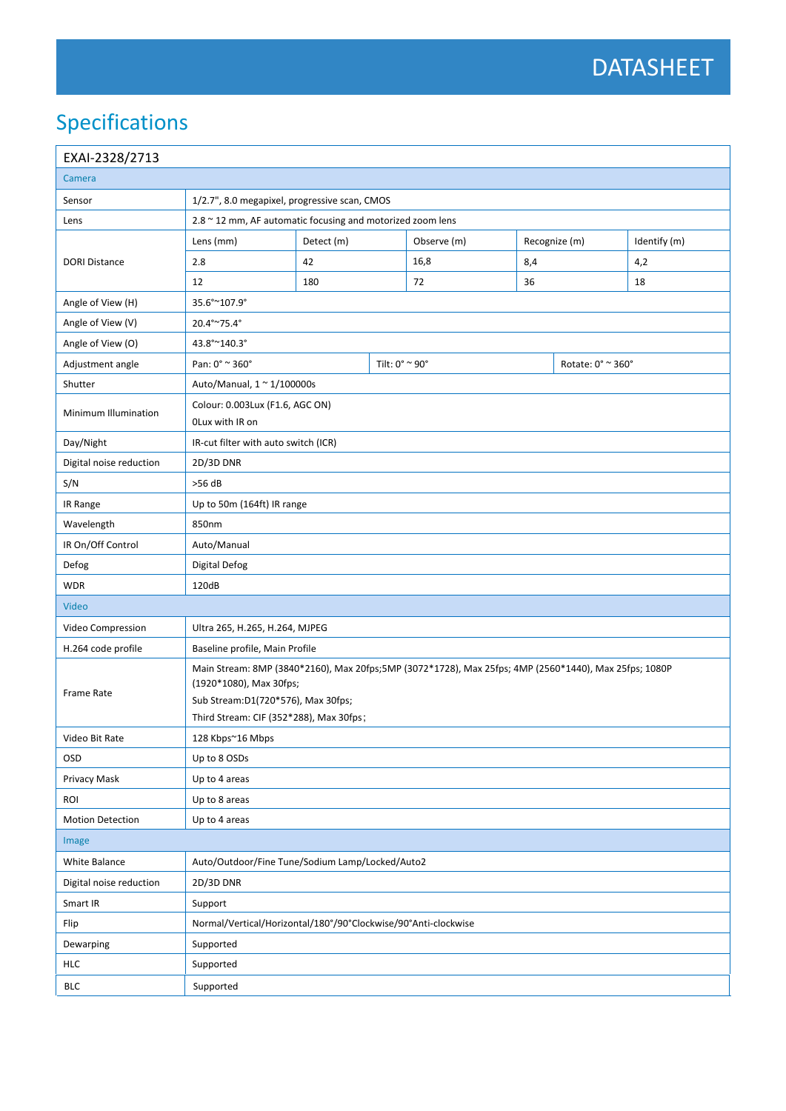# Specifications

| EXAI-2328/2713          |                                                                                                                                                                                                                   |                |  |                   |     |               |              |  |
|-------------------------|-------------------------------------------------------------------------------------------------------------------------------------------------------------------------------------------------------------------|----------------|--|-------------------|-----|---------------|--------------|--|
| Camera                  |                                                                                                                                                                                                                   |                |  |                   |     |               |              |  |
| Sensor                  | 1/2.7", 8.0 megapixel, progressive scan, CMOS                                                                                                                                                                     |                |  |                   |     |               |              |  |
| Lens                    | 2.8 ~ 12 mm, AF automatic focusing and motorized zoom lens                                                                                                                                                        |                |  |                   |     |               |              |  |
| <b>DORI Distance</b>    | Lens (mm)                                                                                                                                                                                                         | Detect (m)     |  | Observe (m)       |     | Recognize (m) | Identify (m) |  |
|                         | 2.8                                                                                                                                                                                                               | 42             |  | 16,8              | 8,4 |               | 4,2          |  |
|                         | 12                                                                                                                                                                                                                | 180            |  | 72                | 36  |               | 18           |  |
| Angle of View (H)       | 35.6°~107.9°                                                                                                                                                                                                      |                |  |                   |     |               |              |  |
| Angle of View (V)       | 20.4°~75.4°                                                                                                                                                                                                       |                |  |                   |     |               |              |  |
| Angle of View (O)       | 43.8°~140.3°                                                                                                                                                                                                      |                |  |                   |     |               |              |  |
| Adjustment angle        | Pan: 0° ~ 360°                                                                                                                                                                                                    | Tilt: 0° ~ 90° |  | Rotate: 0° ~ 360° |     |               |              |  |
| Shutter                 | Auto/Manual, $1 \approx 1/100000$ s                                                                                                                                                                               |                |  |                   |     |               |              |  |
| Minimum Illumination    | Colour: 0.003Lux (F1.6, AGC ON)<br>OLux with IR on                                                                                                                                                                |                |  |                   |     |               |              |  |
| Day/Night               | IR-cut filter with auto switch (ICR)                                                                                                                                                                              |                |  |                   |     |               |              |  |
| Digital noise reduction | 2D/3D DNR                                                                                                                                                                                                         |                |  |                   |     |               |              |  |
| S/N                     | $>56$ dB                                                                                                                                                                                                          |                |  |                   |     |               |              |  |
| IR Range                | Up to 50m (164ft) IR range                                                                                                                                                                                        |                |  |                   |     |               |              |  |
| Wavelength              | 850nm                                                                                                                                                                                                             |                |  |                   |     |               |              |  |
| IR On/Off Control       | Auto/Manual                                                                                                                                                                                                       |                |  |                   |     |               |              |  |
| Defog                   | Digital Defog                                                                                                                                                                                                     |                |  |                   |     |               |              |  |
| <b>WDR</b>              | 120dB                                                                                                                                                                                                             |                |  |                   |     |               |              |  |
| Video                   |                                                                                                                                                                                                                   |                |  |                   |     |               |              |  |
| Video Compression       | Ultra 265, H.265, H.264, MJPEG                                                                                                                                                                                    |                |  |                   |     |               |              |  |
| H.264 code profile      | Baseline profile, Main Profile                                                                                                                                                                                    |                |  |                   |     |               |              |  |
| Frame Rate              | Main Stream: 8MP (3840*2160), Max 20fps;5MP (3072*1728), Max 25fps; 4MP (2560*1440), Max 25fps; 1080P<br>(1920*1080), Max 30fps;<br>Sub Stream:D1(720*576), Max 30fps;<br>Third Stream: CIF (352*288), Max 30fps; |                |  |                   |     |               |              |  |
| Video Bit Rate          | 128 Kbps~16 Mbps                                                                                                                                                                                                  |                |  |                   |     |               |              |  |
| OSD                     | Up to 8 OSDs                                                                                                                                                                                                      |                |  |                   |     |               |              |  |
| Privacy Mask            | Up to 4 areas                                                                                                                                                                                                     |                |  |                   |     |               |              |  |
| ROI                     | Up to 8 areas                                                                                                                                                                                                     |                |  |                   |     |               |              |  |
| <b>Motion Detection</b> | Up to 4 areas                                                                                                                                                                                                     |                |  |                   |     |               |              |  |
| Image                   |                                                                                                                                                                                                                   |                |  |                   |     |               |              |  |
| White Balance           | Auto/Outdoor/Fine Tune/Sodium Lamp/Locked/Auto2                                                                                                                                                                   |                |  |                   |     |               |              |  |
| Digital noise reduction | 2D/3D DNR                                                                                                                                                                                                         |                |  |                   |     |               |              |  |
| Smart IR                | Support                                                                                                                                                                                                           |                |  |                   |     |               |              |  |
| Flip                    | Normal/Vertical/Horizontal/180°/90°Clockwise/90°Anti-clockwise                                                                                                                                                    |                |  |                   |     |               |              |  |
| Dewarping               | Supported                                                                                                                                                                                                         |                |  |                   |     |               |              |  |
| <b>HLC</b>              | Supported                                                                                                                                                                                                         |                |  |                   |     |               |              |  |
| <b>BLC</b>              | Supported                                                                                                                                                                                                         |                |  |                   |     |               |              |  |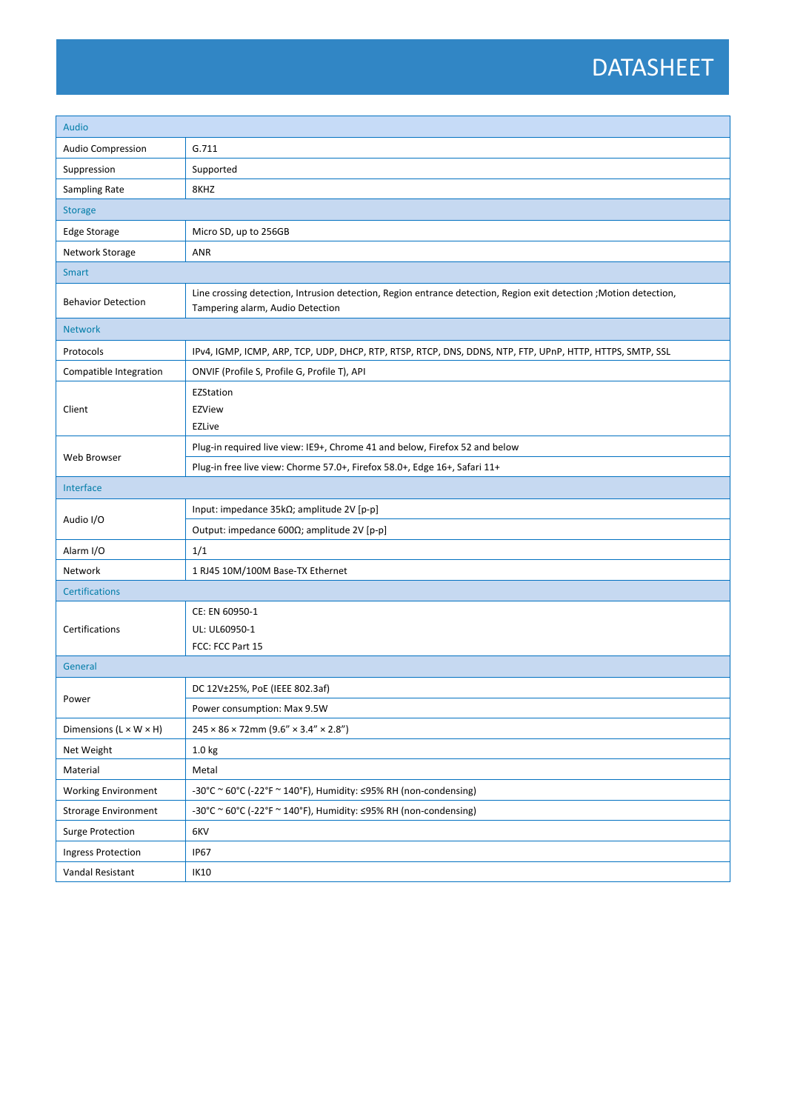## DATASHEET

| Audio                                |                                                                                                                                                        |  |  |  |  |
|--------------------------------------|--------------------------------------------------------------------------------------------------------------------------------------------------------|--|--|--|--|
| Audio Compression                    | G.711                                                                                                                                                  |  |  |  |  |
| Suppression                          | Supported                                                                                                                                              |  |  |  |  |
| Sampling Rate                        | 8KHZ                                                                                                                                                   |  |  |  |  |
| <b>Storage</b>                       |                                                                                                                                                        |  |  |  |  |
| Edge Storage                         | Micro SD, up to 256GB                                                                                                                                  |  |  |  |  |
| Network Storage                      | ANR                                                                                                                                                    |  |  |  |  |
| <b>Smart</b>                         |                                                                                                                                                        |  |  |  |  |
| <b>Behavior Detection</b>            | Line crossing detection, Intrusion detection, Region entrance detection, Region exit detection ; Motion detection,<br>Tampering alarm, Audio Detection |  |  |  |  |
| <b>Network</b>                       |                                                                                                                                                        |  |  |  |  |
| Protocols                            | IPv4, IGMP, ICMP, ARP, TCP, UDP, DHCP, RTP, RTSP, RTCP, DNS, DDNS, NTP, FTP, UPnP, HTTP, HTTPS, SMTP, SSL                                              |  |  |  |  |
| Compatible Integration               | ONVIF (Profile S, Profile G, Profile T), API                                                                                                           |  |  |  |  |
| Client                               | EZStation<br><b>EZView</b><br><b>EZLive</b>                                                                                                            |  |  |  |  |
| Web Browser                          | Plug-in required live view: IE9+, Chrome 41 and below, Firefox 52 and below                                                                            |  |  |  |  |
|                                      | Plug-in free live view: Chorme 57.0+, Firefox 58.0+, Edge 16+, Safari 11+                                                                              |  |  |  |  |
| Interface                            |                                                                                                                                                        |  |  |  |  |
|                                      | Input: impedance 35kΩ; amplitude 2V [p-p]                                                                                                              |  |  |  |  |
| Audio I/O                            | Output: impedance 600Ω; amplitude 2V [p-p]                                                                                                             |  |  |  |  |
| Alarm I/O                            | 1/1                                                                                                                                                    |  |  |  |  |
| Network                              | 1 RJ45 10M/100M Base-TX Ethernet                                                                                                                       |  |  |  |  |
| <b>Certifications</b>                |                                                                                                                                                        |  |  |  |  |
| Certifications                       | CE: EN 60950-1<br>UL: UL60950-1<br>FCC: FCC Part 15                                                                                                    |  |  |  |  |
| General                              |                                                                                                                                                        |  |  |  |  |
| Power                                | DC 12V±25%, PoE (IEEE 802.3af)                                                                                                                         |  |  |  |  |
|                                      | Power consumption: Max 9.5W                                                                                                                            |  |  |  |  |
| Dimensions ( $L \times W \times H$ ) | $245 \times 86 \times 72$ mm (9.6" × 3.4" × 2.8")                                                                                                      |  |  |  |  |
| Net Weight                           | 1.0 <sub>kg</sub>                                                                                                                                      |  |  |  |  |
| Material                             | Metal                                                                                                                                                  |  |  |  |  |
| <b>Working Environment</b>           | -30°C ~ 60°C (-22°F ~ 140°F), Humidity: ≤95% RH (non-condensing)                                                                                       |  |  |  |  |
| <b>Strorage Environment</b>          | -30°C ~ 60°C (-22°F ~ 140°F), Humidity: ≤95% RH (non-condensing)                                                                                       |  |  |  |  |
| <b>Surge Protection</b>              | 6KV                                                                                                                                                    |  |  |  |  |
| <b>Ingress Protection</b>            | <b>IP67</b>                                                                                                                                            |  |  |  |  |
| Vandal Resistant                     | <b>IK10</b>                                                                                                                                            |  |  |  |  |